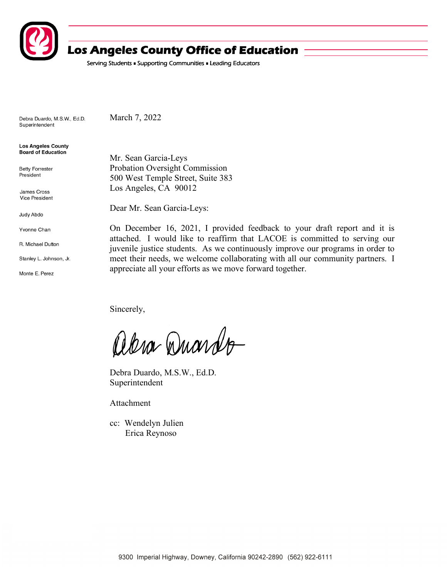

# **Los Angeles County Office of Education**

Serving Students . Supporting Communities . Leading Educators

Debra Duardo, M.S.W., Ed.D. Superintendent

March 7, 2022

**Los Angeles County** Board of Education

**Betty Forrester** President

James Cross **Vice President** 

Judy Abdo

Yvonne Chan

R. Michael Dutton

Stanley L. Johnson, Jr.

Monte E. Perez

Mr. Sean Garcia-Leys Probation Oversight Commission 500 West Temple Street, Suite 383 Los Angeles, CA 90012

Dear Mr. Sean Garcia-Leys:

On December 16, 2021, I provided feedback to your draft report and it is attached. I would like to reaffirm that LACOE is committed to serving our juvenile justice students. As we continuously improve our programs in order to meet their needs, we welcome collaborating with all our community partners. I appreciate all your efforts as we move forward together.

Sincerely,

abra Duardo

Debra Duardo, M.S.W., Ed.D. Superintendent

Attachment

cc: Wendelyn Julien Erica Reynoso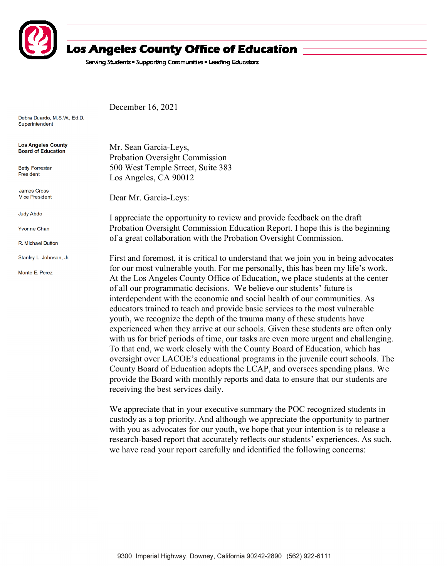

# **Los Angeles County Office of Education**

Serving Students . Supporting Communities . Leading Educators

Debra Duardo, M.S.W., Ed.D. Superintendent

| <b>Los Angeles County</b><br><b>Board of Education</b> | Mr. Sean Garcia-Leys,                                                                                                                                                                                                                      |
|--------------------------------------------------------|--------------------------------------------------------------------------------------------------------------------------------------------------------------------------------------------------------------------------------------------|
|                                                        | Probation Oversight Commission                                                                                                                                                                                                             |
| <b>Betty Forrester</b><br>President                    | 500 West Temple Street, Suite 383                                                                                                                                                                                                          |
|                                                        | Los Angeles, CA 90012                                                                                                                                                                                                                      |
| <b>James Cross</b>                                     |                                                                                                                                                                                                                                            |
| <b>Vice President</b>                                  | Dear Mr. Garcia-Leys:                                                                                                                                                                                                                      |
| Judy Abdo                                              | I appreciate the opportunity to review and provide feedback on the draft                                                                                                                                                                   |
| <b>Yvonne Chan</b>                                     | Probation Oversight Commission Education Report. I hope this is the beginning                                                                                                                                                              |
| R. Michael Dutton                                      | of a great collaboration with the Probation Oversight Commission.                                                                                                                                                                          |
| Stanley L. Johnson, Jr.                                | First and foremost, it is critical to understand that we join you in being advocates                                                                                                                                                       |
| Monte E. Perez                                         | for our most vulnerable youth. For me personally, this has been my life's work.<br>At the Los Angeles County Office of Education, we place students at the center<br>of all our programmatic decisions. We believe our students' future is |
|                                                        | interdependent with the economic and social health of our communities. As                                                                                                                                                                  |

receiving the best services daily.

December 16, 2021

9300 Imperial Highway, Downey, California 90242-2890 (562) 922-6111

We appreciate that in your executive summary the POC recognized students in custody as a top priority. And although we appreciate the opportunity to partner with you as advocates for our youth, we hope that your intention is to release a research-based report that accurately reflects our students' experiences. As such, we have read your report carefully and identified the following concerns:

educators trained to teach and provide basic services to the most vulnerable youth, we recognize the depth of the trauma many of these students have

experienced when they arrive at our schools. Given these students are often only with us for brief periods of time, our tasks are even more urgent and challenging. To that end, we work closely with the County Board of Education, which has oversight over LACOE's educational programs in the juvenile court schools. The County Board of Education adopts the LCAP, and oversees spending plans. We provide the Board with monthly reports and data to ensure that our students are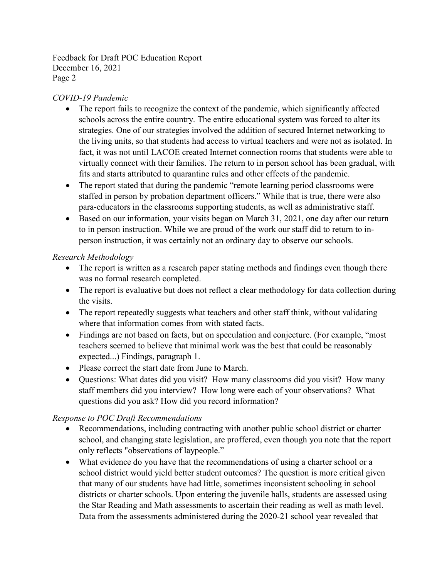Feedback for Draft POC Education Report December 16, 2021 Page 2

### *COVID-19 Pandemic*

- The report fails to recognize the context of the pandemic, which significantly affected schools across the entire country. The entire educational system was forced to alter its strategies. One of our strategies involved the addition of secured Internet networking to the living units, so that students had access to virtual teachers and were not as isolated. In fact, it was not until LACOE created Internet connection rooms that students were able to virtually connect with their families. The return to in person school has been gradual, with fits and starts attributed to quarantine rules and other effects of the pandemic.
- The report stated that during the pandemic "remote learning period classrooms were staffed in person by probation department officers." While that is true, there were also para-educators in the classrooms supporting students, as well as administrative staff.
- Based on our information, your visits began on March 31, 2021, one day after our return to in person instruction. While we are proud of the work our staff did to return to inperson instruction, it was certainly not an ordinary day to observe our schools.

## *Research Methodology*

- The report is written as a research paper stating methods and findings even though there was no formal research completed.
- The report is evaluative but does not reflect a clear methodology for data collection during the visits.
- The report repeatedly suggests what teachers and other staff think, without validating where that information comes from with stated facts.
- Findings are not based on facts, but on speculation and conjecture. (For example, "most teachers seemed to believe that minimal work was the best that could be reasonably expected...) Findings, paragraph 1.
- Please correct the start date from June to March.
- Questions: What dates did you visit? How many classrooms did you visit? How many staff members did you interview? How long were each of your observations? What questions did you ask? How did you record information?

#### *Response to POC Draft Recommendations*

- Recommendations, including contracting with another public school district or charter school, and changing state legislation, are proffered, even though you note that the report only reflects "observations of laypeople."
- What evidence do you have that the recommendations of using a charter school or a school district would yield better student outcomes? The question is more critical given that many of our students have had little, sometimes inconsistent schooling in school districts or charter schools. Upon entering the juvenile halls, students are assessed using the Star Reading and Math assessments to ascertain their reading as well as math level. Data from the assessments administered during the 2020-21 school year revealed that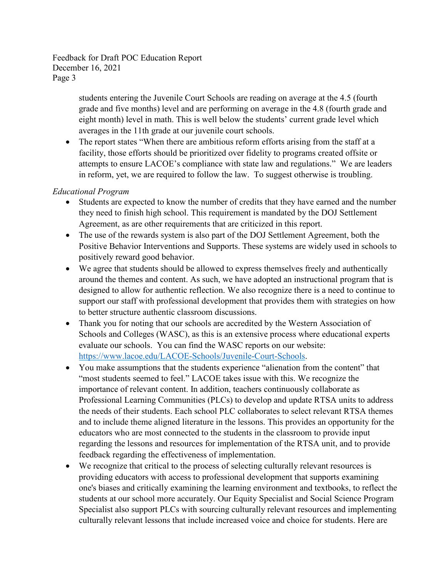Feedback for Draft POC Education Report December 16, 2021 Page 3

> students entering the Juvenile Court Schools are reading on average at the 4.5 (fourth grade and five months) level and are performing on average in the 4.8 (fourth grade and eight month) level in math. This is well below the students' current grade level which averages in the 11th grade at our juvenile court schools.

• The report states "When there are ambitious reform efforts arising from the staff at a facility, those efforts should be prioritized over fidelity to programs created offsite or attempts to ensure LACOE's compliance with state law and regulations." We are leaders in reform, yet, we are required to follow the law. To suggest otherwise is troubling.

#### *Educational Program*

- Students are expected to know the number of credits that they have earned and the number they need to finish high school. This requirement is mandated by the DOJ Settlement Agreement, as are other requirements that are criticized in this report.
- The use of the rewards system is also part of the DOJ Settlement Agreement, both the Positive Behavior Interventions and Supports. These systems are widely used in schools to positively reward good behavior.
- We agree that students should be allowed to express themselves freely and authentically around the themes and content. As such, we have adopted an instructional program that is designed to allow for authentic reflection. We also recognize there is a need to continue to support our staff with professional development that provides them with strategies on how to better structure authentic classroom discussions.
- Thank you for noting that our schools are accredited by the Western Association of Schools and Colleges (WASC), as this is an extensive process where educational experts evaluate our schools. You can find the WASC reports on our website: [https://www.lacoe.edu/LACOE-Schools/Juvenile-Court-Schools.](https://www.lacoe.edu/LACOE-Schools/Juvenile-Court-Schools)
- You make assumptions that the students experience "alienation from the content" that "most students seemed to feel." LACOE takes issue with this. We recognize the importance of relevant content. In addition, teachers continuously collaborate as Professional Learning Communities (PLCs) to develop and update RTSA units to address the needs of their students. Each school PLC collaborates to select relevant RTSA themes and to include theme aligned literature in the lessons. This provides an opportunity for the educators who are most connected to the students in the classroom to provide input regarding the lessons and resources for implementation of the RTSA unit, and to provide feedback regarding the effectiveness of implementation.
- We recognize that critical to the process of selecting culturally relevant resources is providing educators with access to professional development that supports examining one's biases and critically examining the learning environment and textbooks, to reflect the students at our school more accurately. Our Equity Specialist and Social Science Program Specialist also support PLCs with sourcing culturally relevant resources and implementing culturally relevant lessons that include increased voice and choice for students. Here are